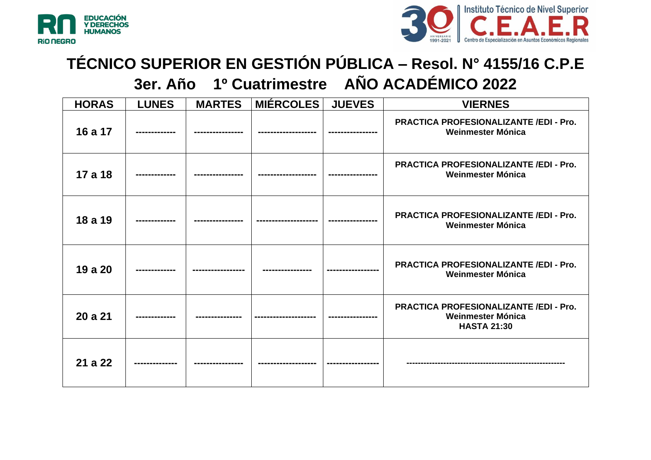



## **TÉCNICO SUPERIOR EN GESTIÓN PÚBLICA – Resol. N° 4155/16 C.P.E 3er. Año 1º Cuatrimestre AÑO ACADÉMICO 2022**

**HORAS LUNES MARTES MIÉRCOLES JUEVES VIERNES 16 a 17 ------------- ---------------- ------------------- ---------------- PRACTICA PROFESIONALIZANTE /EDI - Pro. Weinmester Mónica 17 a 18 ------------- ---------------- ------------------- ---------------- PRACTICA PROFESIONALIZANTE /EDI - Pro. Weinmester Mónica 18 a 19 ------------- ---------------- -------------------- ---------------- PRACTICA PROFESIONALIZANTE /EDI - Pro. Weinmester Mónica 19 a 20 ------------- ----------------- ---------------- ----------------- PRACTICA PROFESIONALIZANTE /EDI - Pro. Weinmester Mónica 20 a 21 ------------- --------------- -------------------- ---------------- PRACTICA PROFESIONALIZANTE /EDI - Pro. Weinmester Mónica HASTA 21:30 21 a 22 -------------- ---------------- ------------------- ----------------- --------------------------------------------------------**